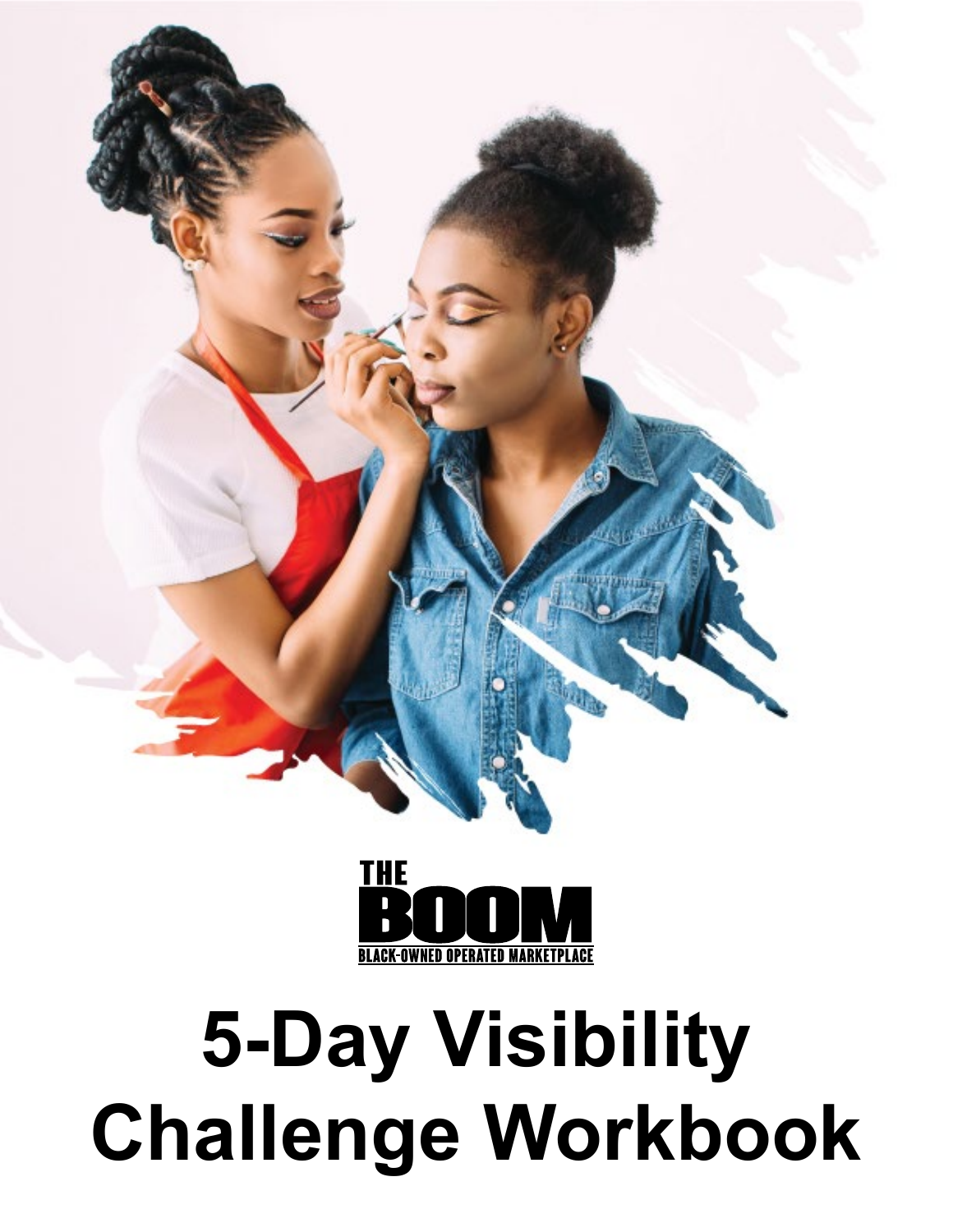



### **5-Day Visibility Challenge Workbook**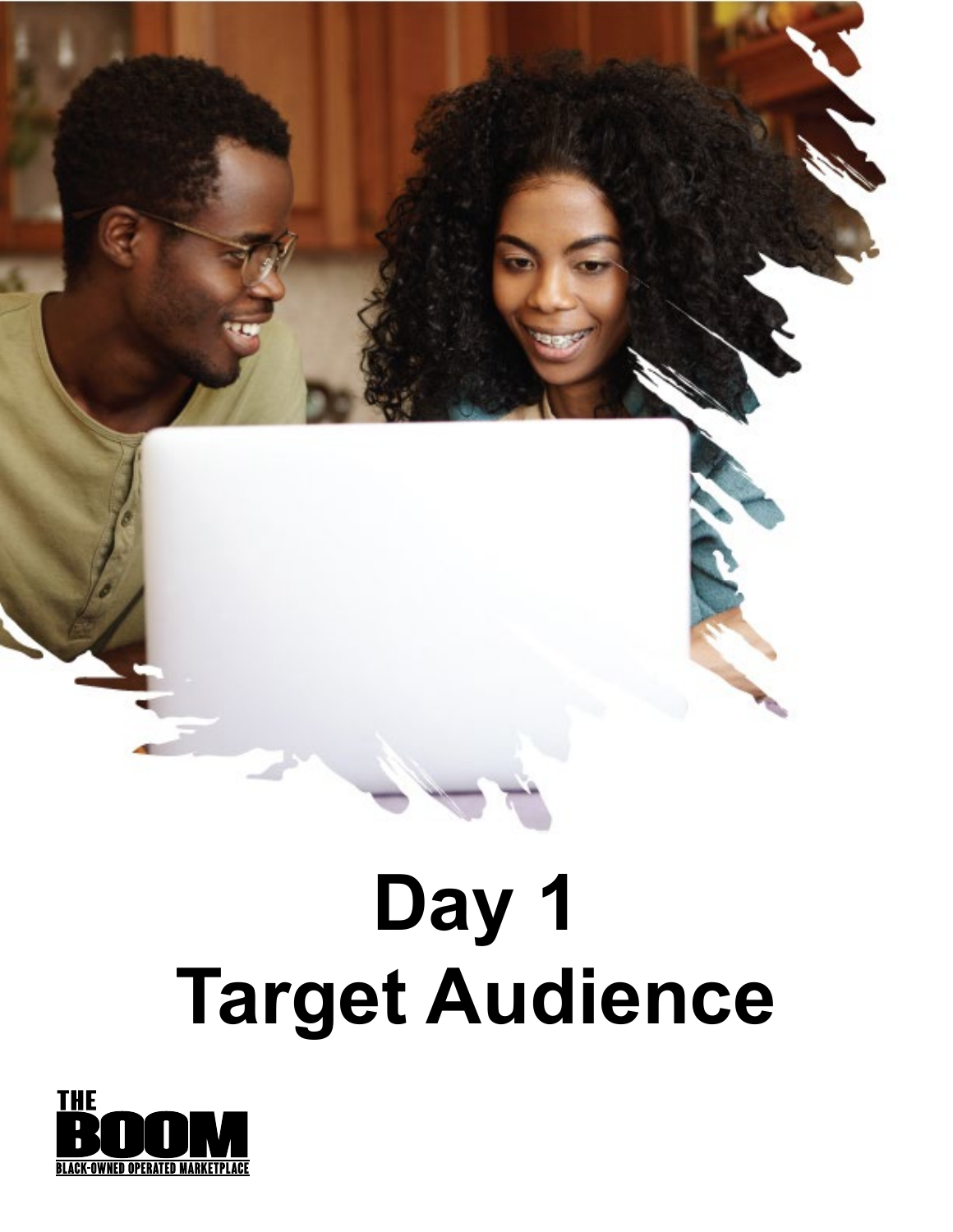### **Day 1 Target Audience**

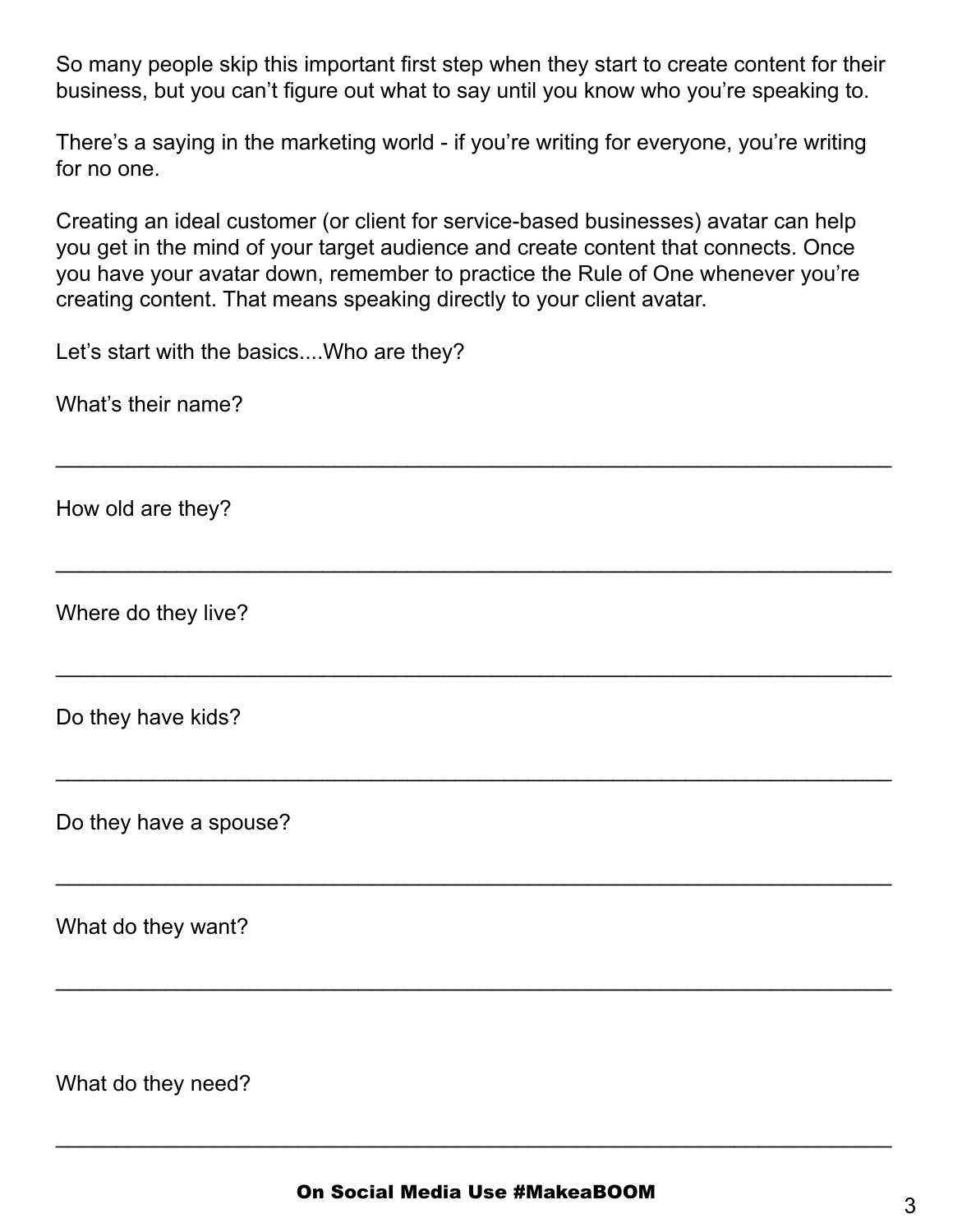So many people skip this important first step when they start to create content for their business, but you can't figure out what to say until you know who you're speaking to.

There's a saying in the marketing world - if you're writing for everyone, you're writing for no one.

Creating an ideal customer (or client for service-based businesses) avatar can help you get in the mind of your target audience and create content that connects. Once you have your avatar down, remember to practice the Rule of One whenever you're creating content. That means speaking directly to your client avatar.

\_\_\_\_\_\_\_\_\_\_\_\_\_\_\_\_\_\_\_\_\_\_\_\_\_\_\_\_\_\_\_\_\_\_\_\_\_\_\_\_\_\_\_\_\_\_\_\_\_\_\_\_\_\_\_\_\_\_\_\_\_\_\_\_\_\_\_\_\_

\_\_\_\_\_\_\_\_\_\_\_\_\_\_\_\_\_\_\_\_\_\_\_\_\_\_\_\_\_\_\_\_\_\_\_\_\_\_\_\_\_\_\_\_\_\_\_\_\_\_\_\_\_\_\_\_\_\_\_\_\_\_\_\_\_\_\_\_\_

\_\_\_\_\_\_\_\_\_\_\_\_\_\_\_\_\_\_\_\_\_\_\_\_\_\_\_\_\_\_\_\_\_\_\_\_\_\_\_\_\_\_\_\_\_\_\_\_\_\_\_\_\_\_\_\_\_\_\_\_\_\_\_\_\_\_\_\_\_

\_\_\_\_\_\_\_\_\_\_\_\_\_\_\_\_\_\_\_\_\_\_\_\_\_\_\_\_\_\_\_\_\_\_\_\_\_\_\_\_\_\_\_\_\_\_\_\_\_\_\_\_\_\_\_\_\_\_\_\_\_\_\_\_\_\_\_\_\_

\_\_\_\_\_\_\_\_\_\_\_\_\_\_\_\_\_\_\_\_\_\_\_\_\_\_\_\_\_\_\_\_\_\_\_\_\_\_\_\_\_\_\_\_\_\_\_\_\_\_\_\_\_\_\_\_\_\_\_\_\_\_\_\_\_\_\_\_\_

\_\_\_\_\_\_\_\_\_\_\_\_\_\_\_\_\_\_\_\_\_\_\_\_\_\_\_\_\_\_\_\_\_\_\_\_\_\_\_\_\_\_\_\_\_\_\_\_\_\_\_\_\_\_\_\_\_\_\_\_\_\_\_\_\_\_\_\_\_

Let's start with the basics....Who are they?

What's their name?

How old are they?

Where do they live?

Do they have kids?

Do they have a spouse?

What do they want?

What do they need?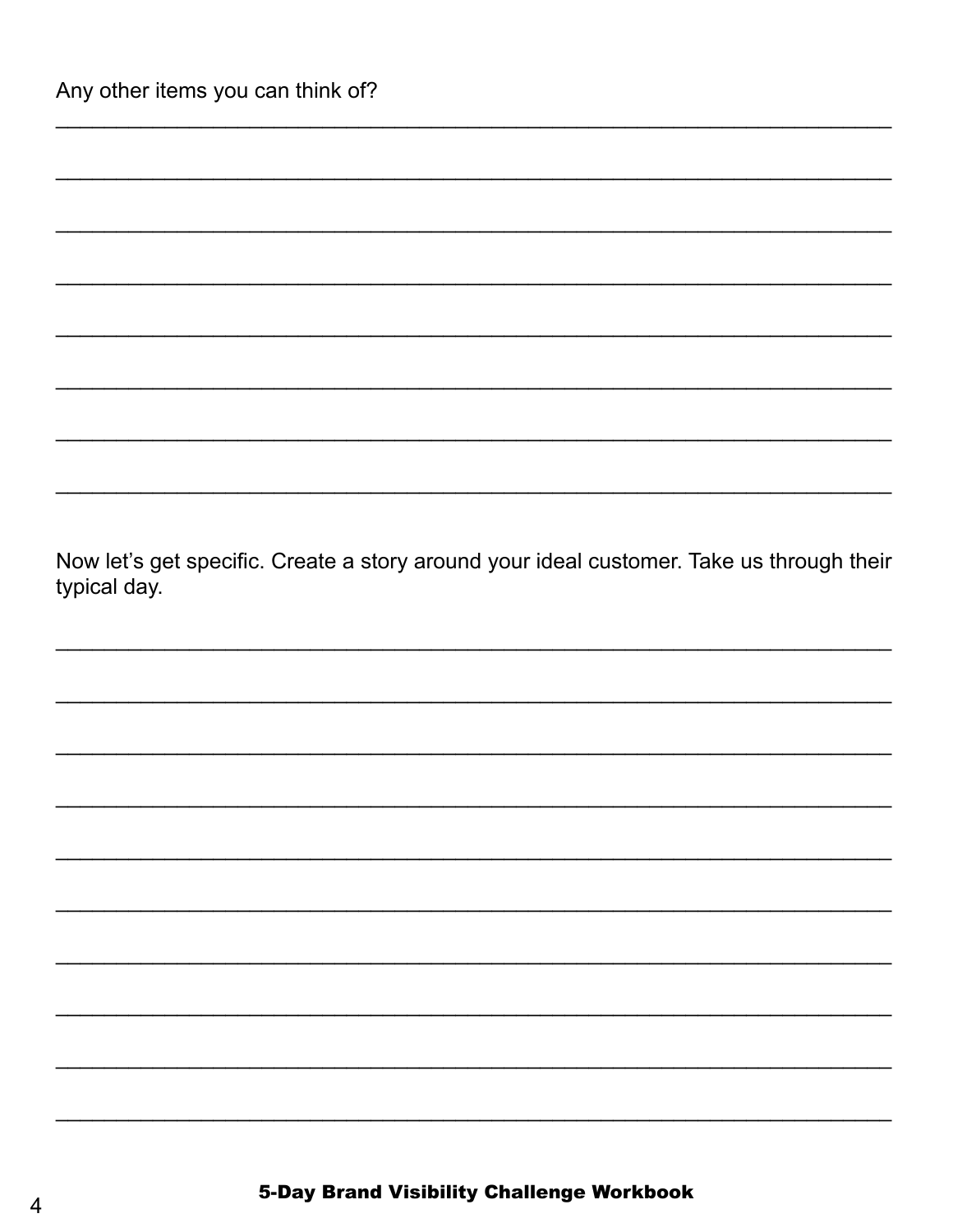Now let's get specific. Create a story around your ideal customer. Take us through their typical day.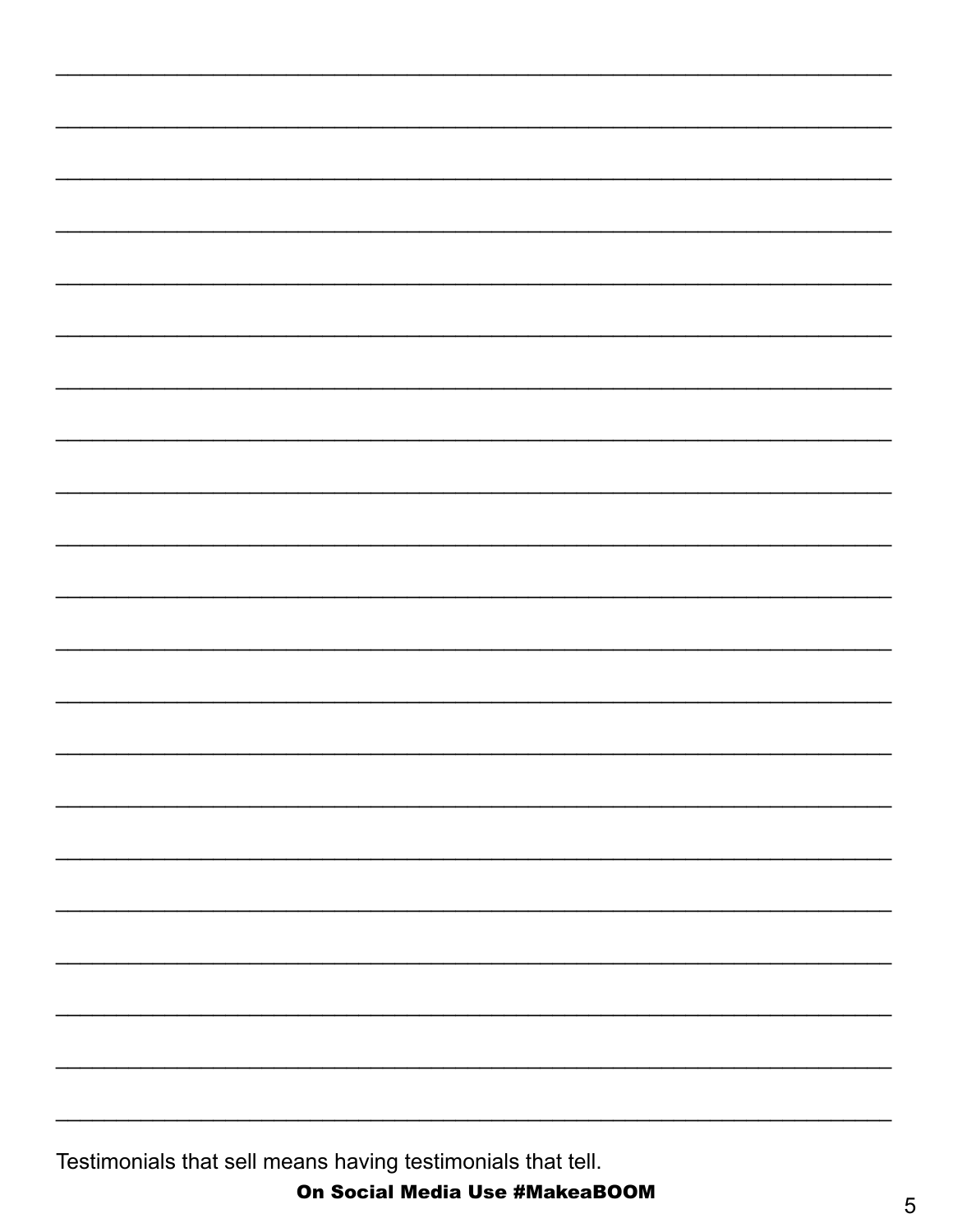Testimonials that sell means having testimonials that tell.

On Social Media Use #MakeaBOOM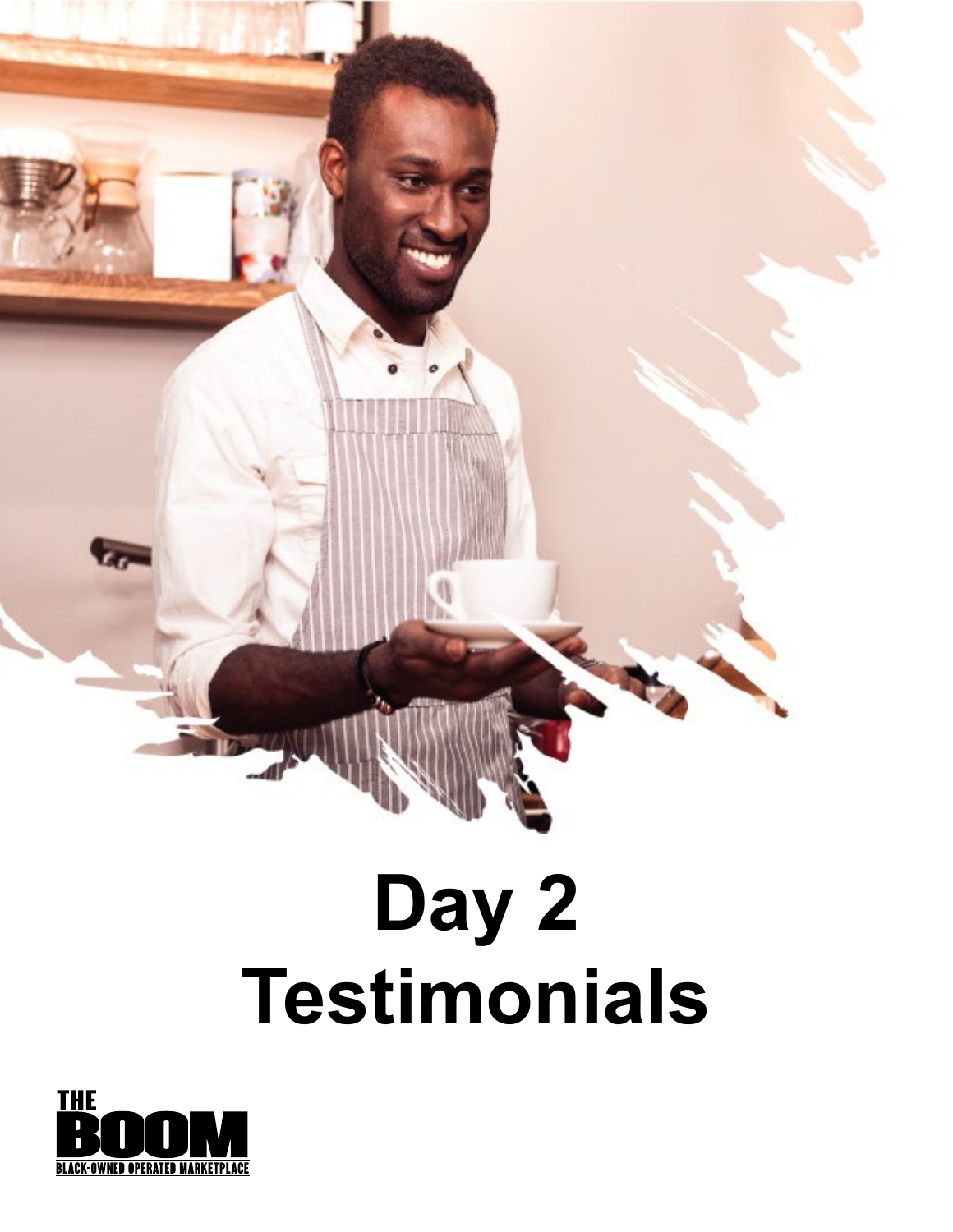# **Day 2 Testimonials**

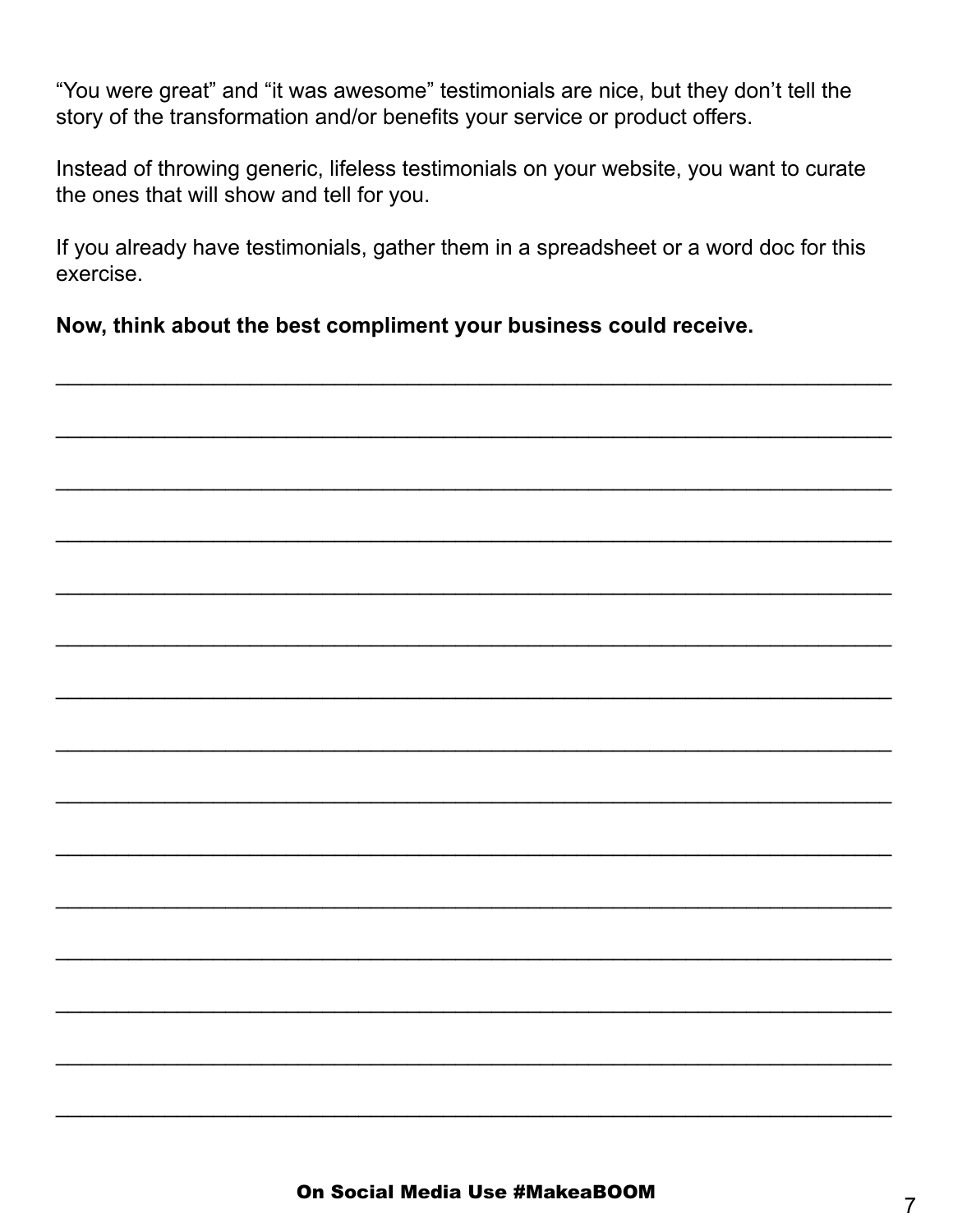"You were great" and "it was awesome" testimonials are nice, but they don't tell the story of the transformation and/or benefits your service or product offers.

Instead of throwing generic, lifeless testimonials on your website, you want to curate the ones that will show and tell for you.

If you already have testimonials, gather them in a spreadsheet or a word doc for this exercise.

Now, think about the best compliment your business could receive.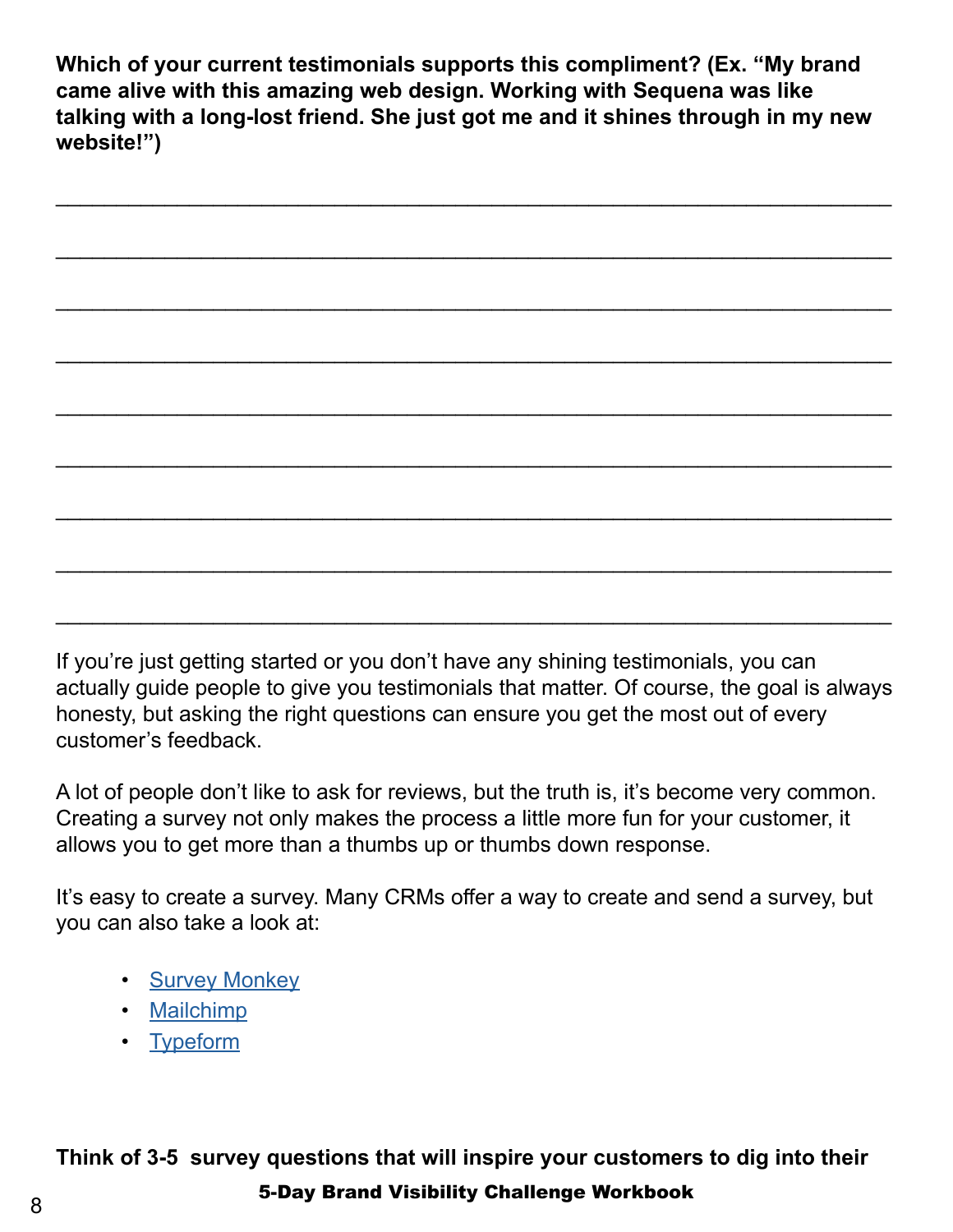**Which of your current testimonials supports this compliment? (Ex. "My brand came alive with this amazing web design. Working with Sequena was like talking with a long-lost friend. She just got me and it shines through in my new website!")**

\_\_\_\_\_\_\_\_\_\_\_\_\_\_\_\_\_\_\_\_\_\_\_\_\_\_\_\_\_\_\_\_\_\_\_\_\_\_\_\_\_\_\_\_\_\_\_\_\_\_\_\_\_\_\_\_\_\_\_\_\_\_\_\_\_\_\_\_\_

\_\_\_\_\_\_\_\_\_\_\_\_\_\_\_\_\_\_\_\_\_\_\_\_\_\_\_\_\_\_\_\_\_\_\_\_\_\_\_\_\_\_\_\_\_\_\_\_\_\_\_\_\_\_\_\_\_\_\_\_\_\_\_\_\_\_\_\_\_

\_\_\_\_\_\_\_\_\_\_\_\_\_\_\_\_\_\_\_\_\_\_\_\_\_\_\_\_\_\_\_\_\_\_\_\_\_\_\_\_\_\_\_\_\_\_\_\_\_\_\_\_\_\_\_\_\_\_\_\_\_\_\_\_\_\_\_\_\_

\_\_\_\_\_\_\_\_\_\_\_\_\_\_\_\_\_\_\_\_\_\_\_\_\_\_\_\_\_\_\_\_\_\_\_\_\_\_\_\_\_\_\_\_\_\_\_\_\_\_\_\_\_\_\_\_\_\_\_\_\_\_\_\_\_\_\_\_\_

\_\_\_\_\_\_\_\_\_\_\_\_\_\_\_\_\_\_\_\_\_\_\_\_\_\_\_\_\_\_\_\_\_\_\_\_\_\_\_\_\_\_\_\_\_\_\_\_\_\_\_\_\_\_\_\_\_\_\_\_\_\_\_\_\_\_\_\_\_

\_\_\_\_\_\_\_\_\_\_\_\_\_\_\_\_\_\_\_\_\_\_\_\_\_\_\_\_\_\_\_\_\_\_\_\_\_\_\_\_\_\_\_\_\_\_\_\_\_\_\_\_\_\_\_\_\_\_\_\_\_\_\_\_\_\_\_\_\_

\_\_\_\_\_\_\_\_\_\_\_\_\_\_\_\_\_\_\_\_\_\_\_\_\_\_\_\_\_\_\_\_\_\_\_\_\_\_\_\_\_\_\_\_\_\_\_\_\_\_\_\_\_\_\_\_\_\_\_\_\_\_\_\_\_\_\_\_\_

\_\_\_\_\_\_\_\_\_\_\_\_\_\_\_\_\_\_\_\_\_\_\_\_\_\_\_\_\_\_\_\_\_\_\_\_\_\_\_\_\_\_\_\_\_\_\_\_\_\_\_\_\_\_\_\_\_\_\_\_\_\_\_\_\_\_\_\_\_

\_\_\_\_\_\_\_\_\_\_\_\_\_\_\_\_\_\_\_\_\_\_\_\_\_\_\_\_\_\_\_\_\_\_\_\_\_\_\_\_\_\_\_\_\_\_\_\_\_\_\_\_\_\_\_\_\_\_\_\_\_\_\_\_\_\_\_\_\_

If you're just getting started or you don't have any shining testimonials, you can actually guide people to give you testimonials that matter. Of course, the goal is always honesty, but asking the right questions can ensure you get the most out of every customer's feedback.

A lot of people don't like to ask for reviews, but the truth is, it's become very common. Creating a survey not only makes the process a little more fun for your customer, it allows you to get more than a thumbs up or thumbs down response.

It's easy to create a survey. Many CRMs offer a way to create and send a survey, but you can also take a look at:

- [Survey Monkey](https://www.surveymonkey.com/)
- [Mailchimp](https://mailchimp.com/)
- [Typeform](https://www.typeform.com/)

5-Day Brand Visibility Challenge Workbook <sup>8</sup> **Think of 3-5 survey questions that will inspire your customers to dig into their**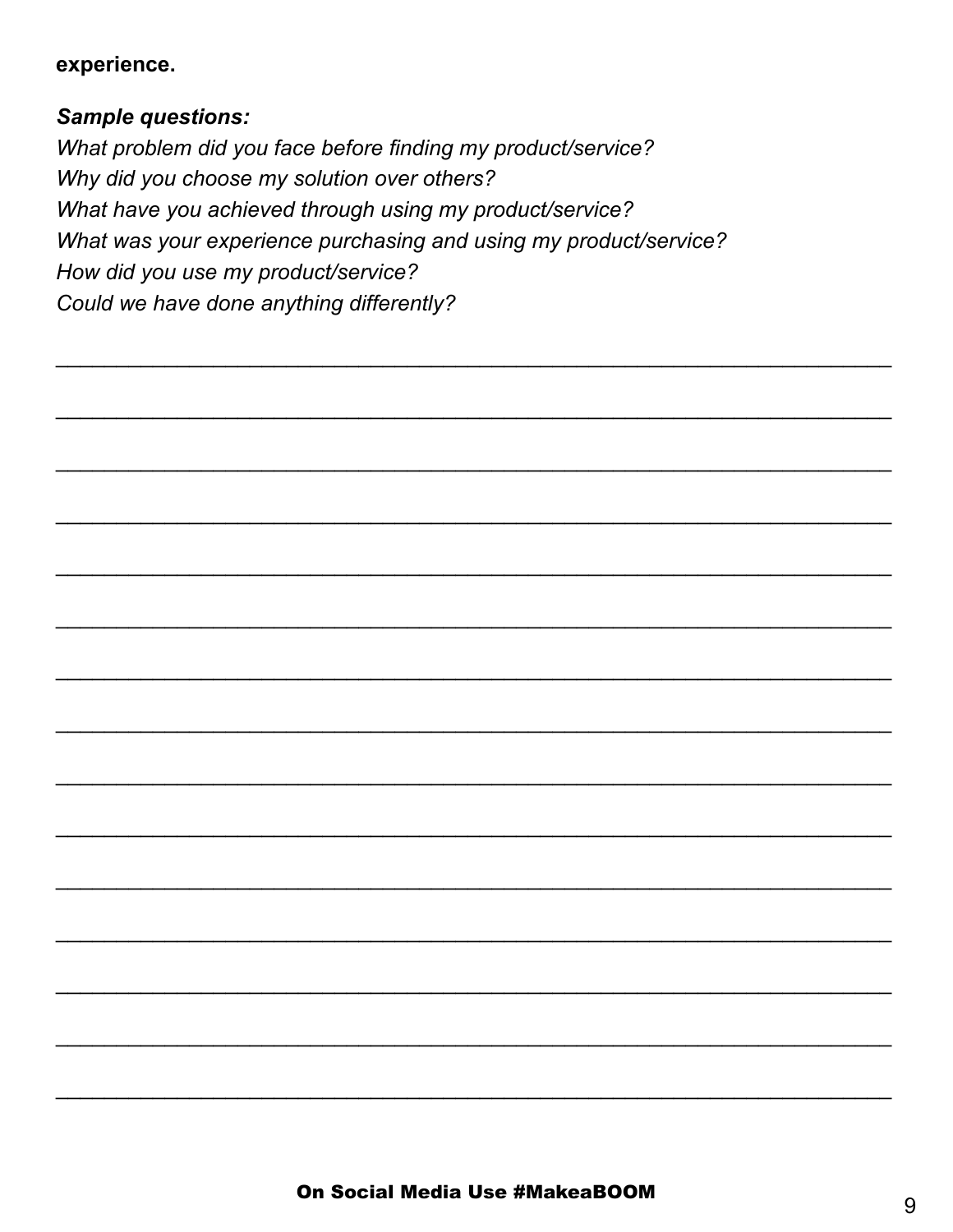#### experience.

### **Sample questions:**

What problem did you face before finding my product/service? Why did you choose my solution over others? What have you achieved through using my product/service? What was your experience purchasing and using my product/service? How did you use my product/service? Could we have done anything differently?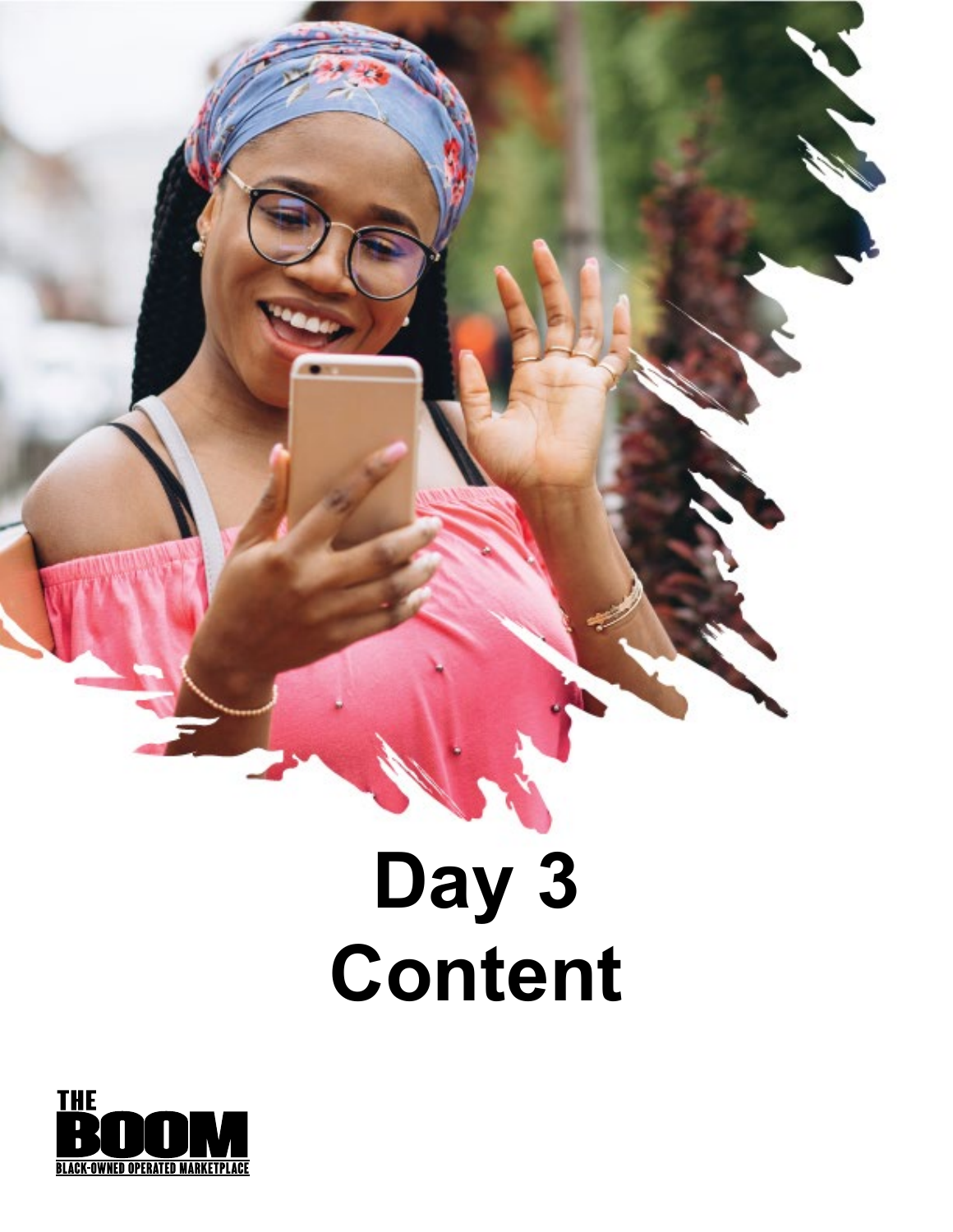### **Day 3 Content**

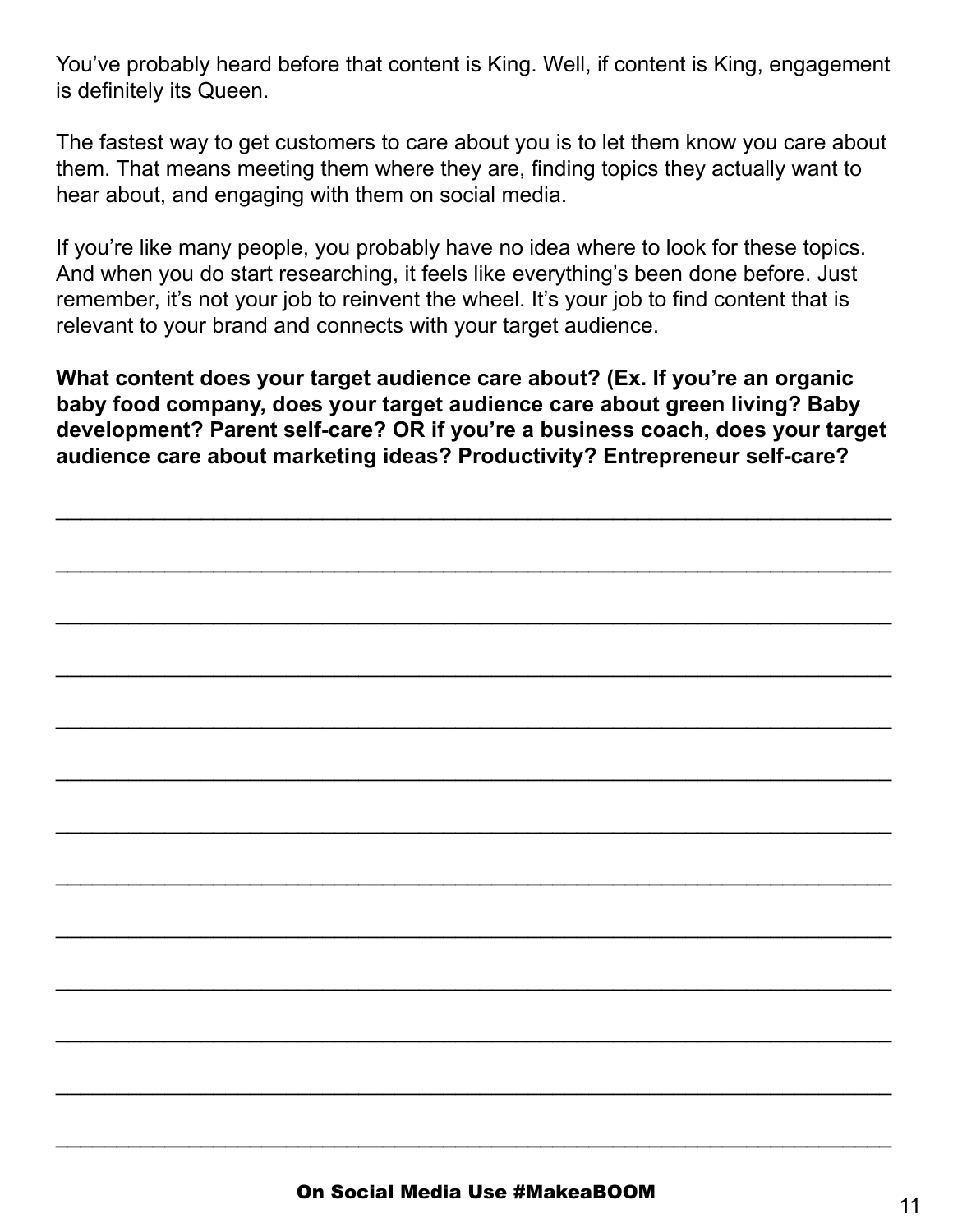You've probably heard before that content is King. Well, if content is King, engagement is definitely its Queen.

The fastest way to get customers to care about you is to let them know you care about them. That means meeting them where they are, finding topics they actually want to hear about, and engaging with them on social media.

If you're like many people, you probably have no idea where to look for these topics. And when you do start researching, it feels like everything's been done before. Just remember, it's not your job to reinvent the wheel. It's your job to find content that is relevant to your brand and connects with your target audience.

**What content does your target audience care about? (Ex. If you're an organic baby food company, does your target audience care about green living? Baby development? Parent self-care? OR if you're a business coach, does your target audience care about marketing ideas? Productivity? Entrepreneur self-care?**

\_\_\_\_\_\_\_\_\_\_\_\_\_\_\_\_\_\_\_\_\_\_\_\_\_\_\_\_\_\_\_\_\_\_\_\_\_\_\_\_\_\_\_\_\_\_\_\_\_\_\_\_\_\_\_\_\_\_\_\_\_\_\_\_\_\_\_\_\_

\_\_\_\_\_\_\_\_\_\_\_\_\_\_\_\_\_\_\_\_\_\_\_\_\_\_\_\_\_\_\_\_\_\_\_\_\_\_\_\_\_\_\_\_\_\_\_\_\_\_\_\_\_\_\_\_\_\_\_\_\_\_\_\_\_\_\_\_\_

\_\_\_\_\_\_\_\_\_\_\_\_\_\_\_\_\_\_\_\_\_\_\_\_\_\_\_\_\_\_\_\_\_\_\_\_\_\_\_\_\_\_\_\_\_\_\_\_\_\_\_\_\_\_\_\_\_\_\_\_\_\_\_\_\_\_\_\_\_

\_\_\_\_\_\_\_\_\_\_\_\_\_\_\_\_\_\_\_\_\_\_\_\_\_\_\_\_\_\_\_\_\_\_\_\_\_\_\_\_\_\_\_\_\_\_\_\_\_\_\_\_\_\_\_\_\_\_\_\_\_\_\_\_\_\_\_\_\_

\_\_\_\_\_\_\_\_\_\_\_\_\_\_\_\_\_\_\_\_\_\_\_\_\_\_\_\_\_\_\_\_\_\_\_\_\_\_\_\_\_\_\_\_\_\_\_\_\_\_\_\_\_\_\_\_\_\_\_\_\_\_\_\_\_\_\_\_\_

\_\_\_\_\_\_\_\_\_\_\_\_\_\_\_\_\_\_\_\_\_\_\_\_\_\_\_\_\_\_\_\_\_\_\_\_\_\_\_\_\_\_\_\_\_\_\_\_\_\_\_\_\_\_\_\_\_\_\_\_\_\_\_\_\_\_\_\_\_

\_\_\_\_\_\_\_\_\_\_\_\_\_\_\_\_\_\_\_\_\_\_\_\_\_\_\_\_\_\_\_\_\_\_\_\_\_\_\_\_\_\_\_\_\_\_\_\_\_\_\_\_\_\_\_\_\_\_\_\_\_\_\_\_\_\_\_\_\_

\_\_\_\_\_\_\_\_\_\_\_\_\_\_\_\_\_\_\_\_\_\_\_\_\_\_\_\_\_\_\_\_\_\_\_\_\_\_\_\_\_\_\_\_\_\_\_\_\_\_\_\_\_\_\_\_\_\_\_\_\_\_\_\_\_\_\_\_\_

\_\_\_\_\_\_\_\_\_\_\_\_\_\_\_\_\_\_\_\_\_\_\_\_\_\_\_\_\_\_\_\_\_\_\_\_\_\_\_\_\_\_\_\_\_\_\_\_\_\_\_\_\_\_\_\_\_\_\_\_\_\_\_\_\_\_\_\_\_

\_\_\_\_\_\_\_\_\_\_\_\_\_\_\_\_\_\_\_\_\_\_\_\_\_\_\_\_\_\_\_\_\_\_\_\_\_\_\_\_\_\_\_\_\_\_\_\_\_\_\_\_\_\_\_\_\_\_\_\_\_\_\_\_\_\_\_\_\_

\_\_\_\_\_\_\_\_\_\_\_\_\_\_\_\_\_\_\_\_\_\_\_\_\_\_\_\_\_\_\_\_\_\_\_\_\_\_\_\_\_\_\_\_\_\_\_\_\_\_\_\_\_\_\_\_\_\_\_\_\_\_\_\_\_\_\_\_\_

\_\_\_\_\_\_\_\_\_\_\_\_\_\_\_\_\_\_\_\_\_\_\_\_\_\_\_\_\_\_\_\_\_\_\_\_\_\_\_\_\_\_\_\_\_\_\_\_\_\_\_\_\_\_\_\_\_\_\_\_\_\_\_\_\_\_\_\_\_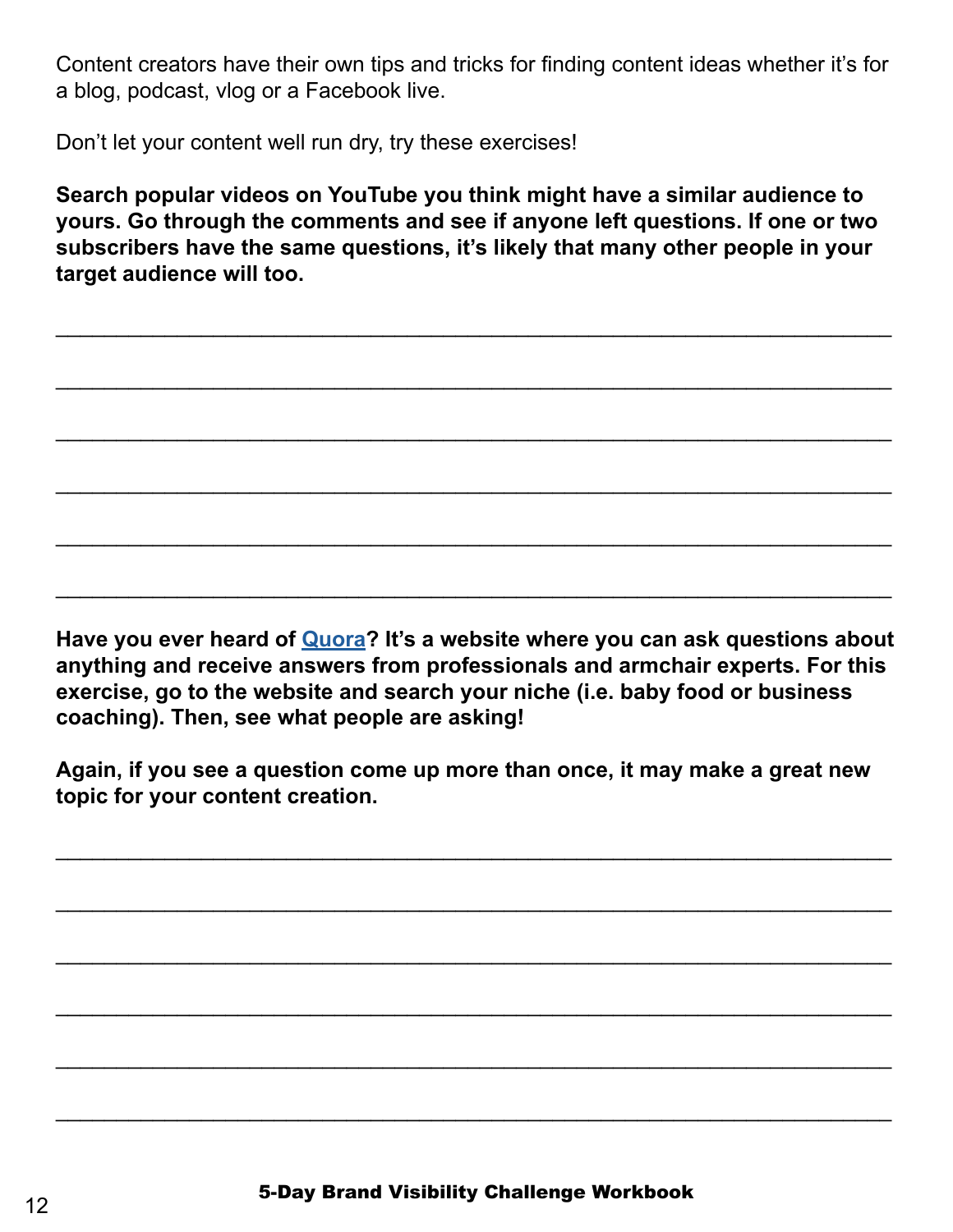Content creators have their own tips and tricks for finding content ideas whether it's for a blog, podcast, vlog or a Facebook live.

Don't let your content well run dry, try these exercises!

**Search popular videos on YouTube you think might have a similar audience to yours. Go through the comments and see if anyone left questions. If one or two subscribers have the same questions, it's likely that many other people in your target audience will too.** 

\_\_\_\_\_\_\_\_\_\_\_\_\_\_\_\_\_\_\_\_\_\_\_\_\_\_\_\_\_\_\_\_\_\_\_\_\_\_\_\_\_\_\_\_\_\_\_\_\_\_\_\_\_\_\_\_\_\_\_\_\_\_\_\_\_\_\_\_\_

\_\_\_\_\_\_\_\_\_\_\_\_\_\_\_\_\_\_\_\_\_\_\_\_\_\_\_\_\_\_\_\_\_\_\_\_\_\_\_\_\_\_\_\_\_\_\_\_\_\_\_\_\_\_\_\_\_\_\_\_\_\_\_\_\_\_\_\_\_

\_\_\_\_\_\_\_\_\_\_\_\_\_\_\_\_\_\_\_\_\_\_\_\_\_\_\_\_\_\_\_\_\_\_\_\_\_\_\_\_\_\_\_\_\_\_\_\_\_\_\_\_\_\_\_\_\_\_\_\_\_\_\_\_\_\_\_\_\_

\_\_\_\_\_\_\_\_\_\_\_\_\_\_\_\_\_\_\_\_\_\_\_\_\_\_\_\_\_\_\_\_\_\_\_\_\_\_\_\_\_\_\_\_\_\_\_\_\_\_\_\_\_\_\_\_\_\_\_\_\_\_\_\_\_\_\_\_\_

\_\_\_\_\_\_\_\_\_\_\_\_\_\_\_\_\_\_\_\_\_\_\_\_\_\_\_\_\_\_\_\_\_\_\_\_\_\_\_\_\_\_\_\_\_\_\_\_\_\_\_\_\_\_\_\_\_\_\_\_\_\_\_\_\_\_\_\_\_

\_\_\_\_\_\_\_\_\_\_\_\_\_\_\_\_\_\_\_\_\_\_\_\_\_\_\_\_\_\_\_\_\_\_\_\_\_\_\_\_\_\_\_\_\_\_\_\_\_\_\_\_\_\_\_\_\_\_\_\_\_\_\_\_\_\_\_\_\_

**Have you ever heard of [Quora](https://www.quora.com/)? It's a website where you can ask questions about anything and receive answers from professionals and armchair experts. For this exercise, go to the website and search your niche (i.e. baby food or business coaching). Then, see what people are asking!**

**Again, if you see a question come up more than once, it may make a great new topic for your content creation.** 

\_\_\_\_\_\_\_\_\_\_\_\_\_\_\_\_\_\_\_\_\_\_\_\_\_\_\_\_\_\_\_\_\_\_\_\_\_\_\_\_\_\_\_\_\_\_\_\_\_\_\_\_\_\_\_\_\_\_\_\_\_\_\_\_\_\_\_\_\_

\_\_\_\_\_\_\_\_\_\_\_\_\_\_\_\_\_\_\_\_\_\_\_\_\_\_\_\_\_\_\_\_\_\_\_\_\_\_\_\_\_\_\_\_\_\_\_\_\_\_\_\_\_\_\_\_\_\_\_\_\_\_\_\_\_\_\_\_\_

\_\_\_\_\_\_\_\_\_\_\_\_\_\_\_\_\_\_\_\_\_\_\_\_\_\_\_\_\_\_\_\_\_\_\_\_\_\_\_\_\_\_\_\_\_\_\_\_\_\_\_\_\_\_\_\_\_\_\_\_\_\_\_\_\_\_\_\_\_

\_\_\_\_\_\_\_\_\_\_\_\_\_\_\_\_\_\_\_\_\_\_\_\_\_\_\_\_\_\_\_\_\_\_\_\_\_\_\_\_\_\_\_\_\_\_\_\_\_\_\_\_\_\_\_\_\_\_\_\_\_\_\_\_\_\_\_\_\_

\_\_\_\_\_\_\_\_\_\_\_\_\_\_\_\_\_\_\_\_\_\_\_\_\_\_\_\_\_\_\_\_\_\_\_\_\_\_\_\_\_\_\_\_\_\_\_\_\_\_\_\_\_\_\_\_\_\_\_\_\_\_\_\_\_\_\_\_\_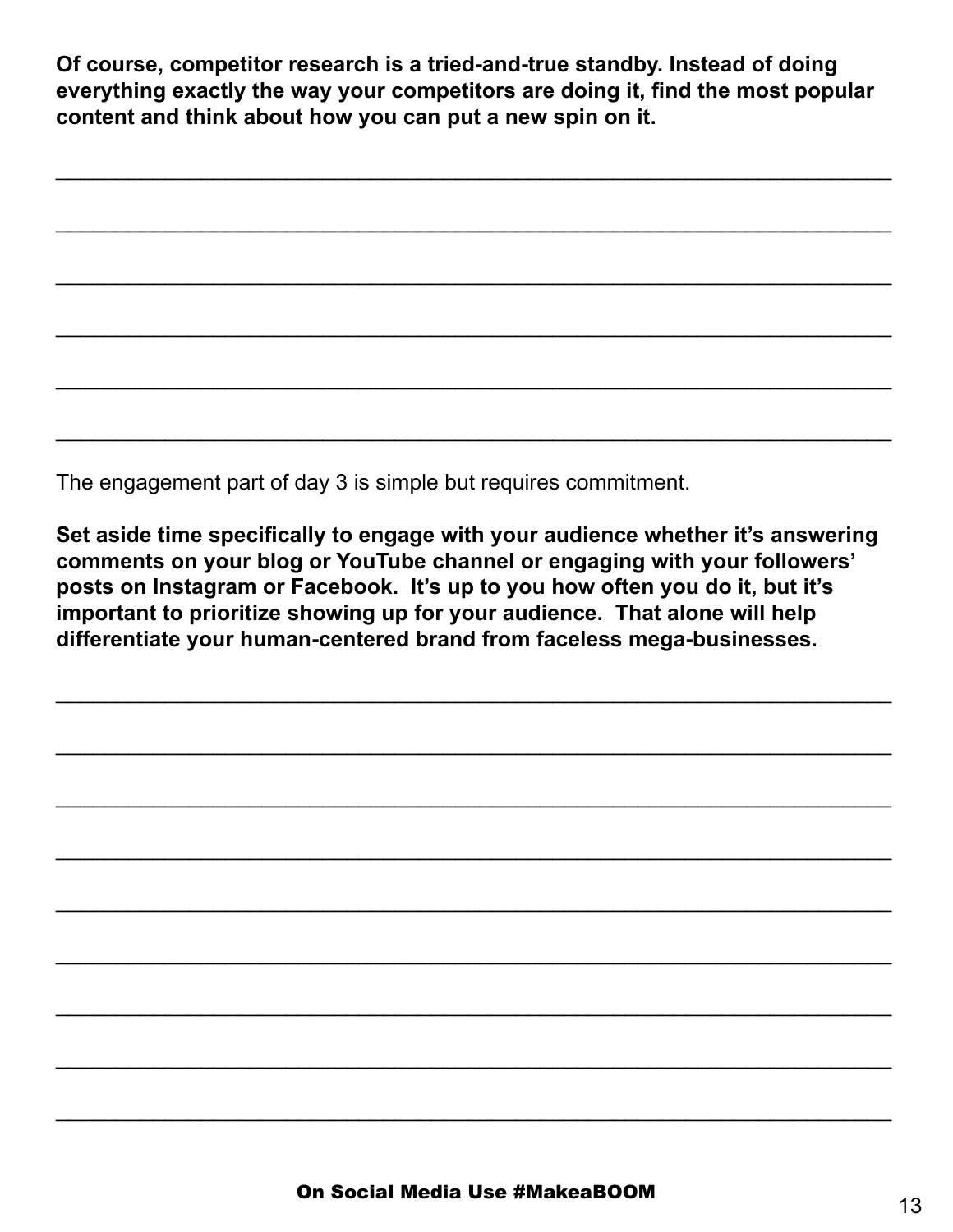**Of course, competitor research is a tried-and-true standby. Instead of doing everything exactly the way your competitors are doing it, find the most popular content and think about how you can put a new spin on it.** 

\_\_\_\_\_\_\_\_\_\_\_\_\_\_\_\_\_\_\_\_\_\_\_\_\_\_\_\_\_\_\_\_\_\_\_\_\_\_\_\_\_\_\_\_\_\_\_\_\_\_\_\_\_\_\_\_\_\_\_\_\_\_\_\_\_\_\_\_\_

\_\_\_\_\_\_\_\_\_\_\_\_\_\_\_\_\_\_\_\_\_\_\_\_\_\_\_\_\_\_\_\_\_\_\_\_\_\_\_\_\_\_\_\_\_\_\_\_\_\_\_\_\_\_\_\_\_\_\_\_\_\_\_\_\_\_\_\_\_

\_\_\_\_\_\_\_\_\_\_\_\_\_\_\_\_\_\_\_\_\_\_\_\_\_\_\_\_\_\_\_\_\_\_\_\_\_\_\_\_\_\_\_\_\_\_\_\_\_\_\_\_\_\_\_\_\_\_\_\_\_\_\_\_\_\_\_\_\_

\_\_\_\_\_\_\_\_\_\_\_\_\_\_\_\_\_\_\_\_\_\_\_\_\_\_\_\_\_\_\_\_\_\_\_\_\_\_\_\_\_\_\_\_\_\_\_\_\_\_\_\_\_\_\_\_\_\_\_\_\_\_\_\_\_\_\_\_\_

\_\_\_\_\_\_\_\_\_\_\_\_\_\_\_\_\_\_\_\_\_\_\_\_\_\_\_\_\_\_\_\_\_\_\_\_\_\_\_\_\_\_\_\_\_\_\_\_\_\_\_\_\_\_\_\_\_\_\_\_\_\_\_\_\_\_\_\_\_

\_\_\_\_\_\_\_\_\_\_\_\_\_\_\_\_\_\_\_\_\_\_\_\_\_\_\_\_\_\_\_\_\_\_\_\_\_\_\_\_\_\_\_\_\_\_\_\_\_\_\_\_\_\_\_\_\_\_\_\_\_\_\_\_\_\_\_\_\_

The engagement part of day 3 is simple but requires commitment.

**Set aside time specifically to engage with your audience whether it's answering comments on your blog or YouTube channel or engaging with your followers' posts on Instagram or Facebook. It's up to you how often you do it, but it's important to prioritize showing up for your audience. That alone will help differentiate your human-centered brand from faceless mega-businesses.**

\_\_\_\_\_\_\_\_\_\_\_\_\_\_\_\_\_\_\_\_\_\_\_\_\_\_\_\_\_\_\_\_\_\_\_\_\_\_\_\_\_\_\_\_\_\_\_\_\_\_\_\_\_\_\_\_\_\_\_\_\_\_\_\_\_\_\_\_\_

\_\_\_\_\_\_\_\_\_\_\_\_\_\_\_\_\_\_\_\_\_\_\_\_\_\_\_\_\_\_\_\_\_\_\_\_\_\_\_\_\_\_\_\_\_\_\_\_\_\_\_\_\_\_\_\_\_\_\_\_\_\_\_\_\_\_\_\_\_

\_\_\_\_\_\_\_\_\_\_\_\_\_\_\_\_\_\_\_\_\_\_\_\_\_\_\_\_\_\_\_\_\_\_\_\_\_\_\_\_\_\_\_\_\_\_\_\_\_\_\_\_\_\_\_\_\_\_\_\_\_\_\_\_\_\_\_\_\_

\_\_\_\_\_\_\_\_\_\_\_\_\_\_\_\_\_\_\_\_\_\_\_\_\_\_\_\_\_\_\_\_\_\_\_\_\_\_\_\_\_\_\_\_\_\_\_\_\_\_\_\_\_\_\_\_\_\_\_\_\_\_\_\_\_\_\_\_\_

\_\_\_\_\_\_\_\_\_\_\_\_\_\_\_\_\_\_\_\_\_\_\_\_\_\_\_\_\_\_\_\_\_\_\_\_\_\_\_\_\_\_\_\_\_\_\_\_\_\_\_\_\_\_\_\_\_\_\_\_\_\_\_\_\_\_\_\_\_

\_\_\_\_\_\_\_\_\_\_\_\_\_\_\_\_\_\_\_\_\_\_\_\_\_\_\_\_\_\_\_\_\_\_\_\_\_\_\_\_\_\_\_\_\_\_\_\_\_\_\_\_\_\_\_\_\_\_\_\_\_\_\_\_\_\_\_\_\_

\_\_\_\_\_\_\_\_\_\_\_\_\_\_\_\_\_\_\_\_\_\_\_\_\_\_\_\_\_\_\_\_\_\_\_\_\_\_\_\_\_\_\_\_\_\_\_\_\_\_\_\_\_\_\_\_\_\_\_\_\_\_\_\_\_\_\_\_\_

\_\_\_\_\_\_\_\_\_\_\_\_\_\_\_\_\_\_\_\_\_\_\_\_\_\_\_\_\_\_\_\_\_\_\_\_\_\_\_\_\_\_\_\_\_\_\_\_\_\_\_\_\_\_\_\_\_\_\_\_\_\_\_\_\_\_\_\_\_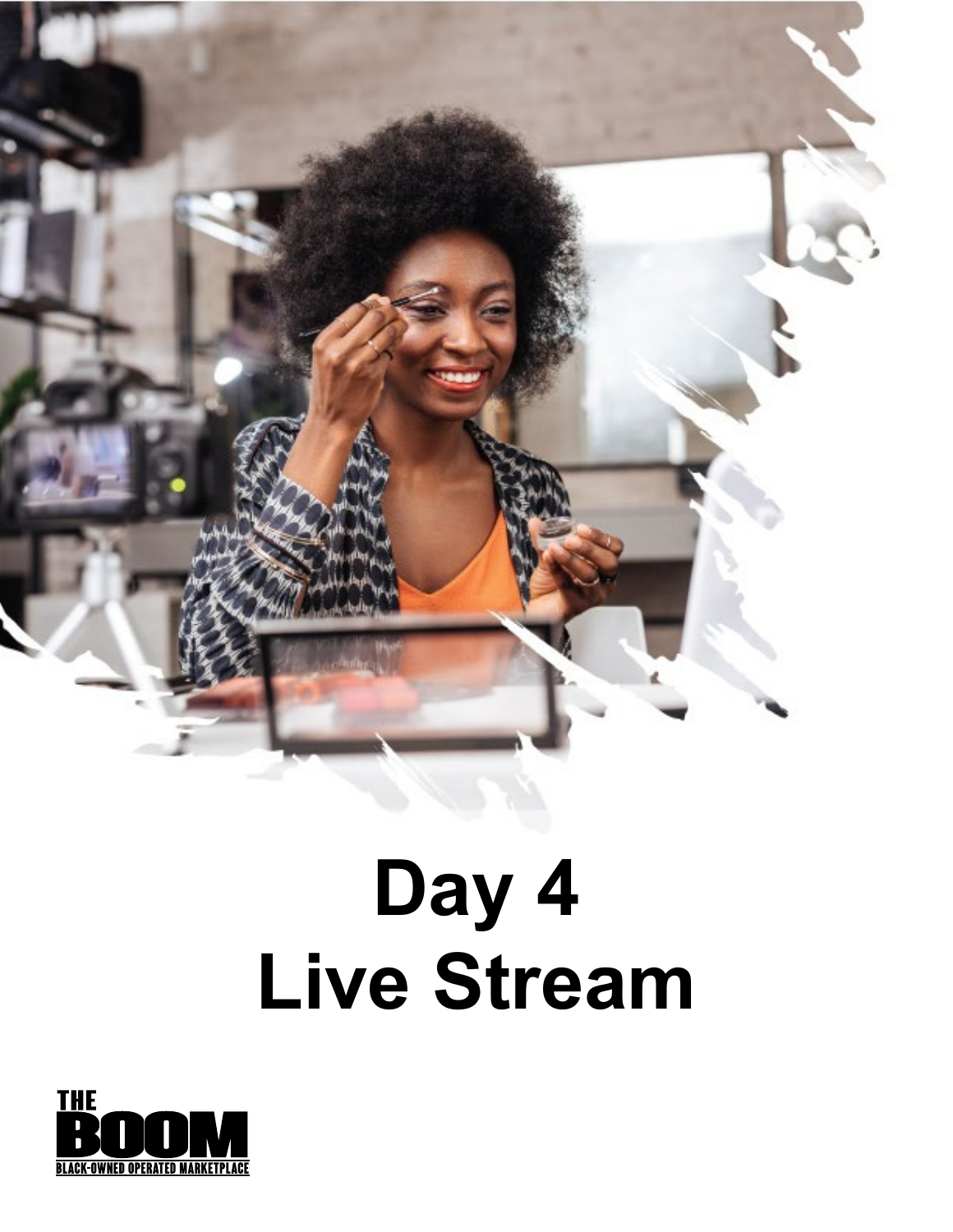

### **Day 4 Live Stream**

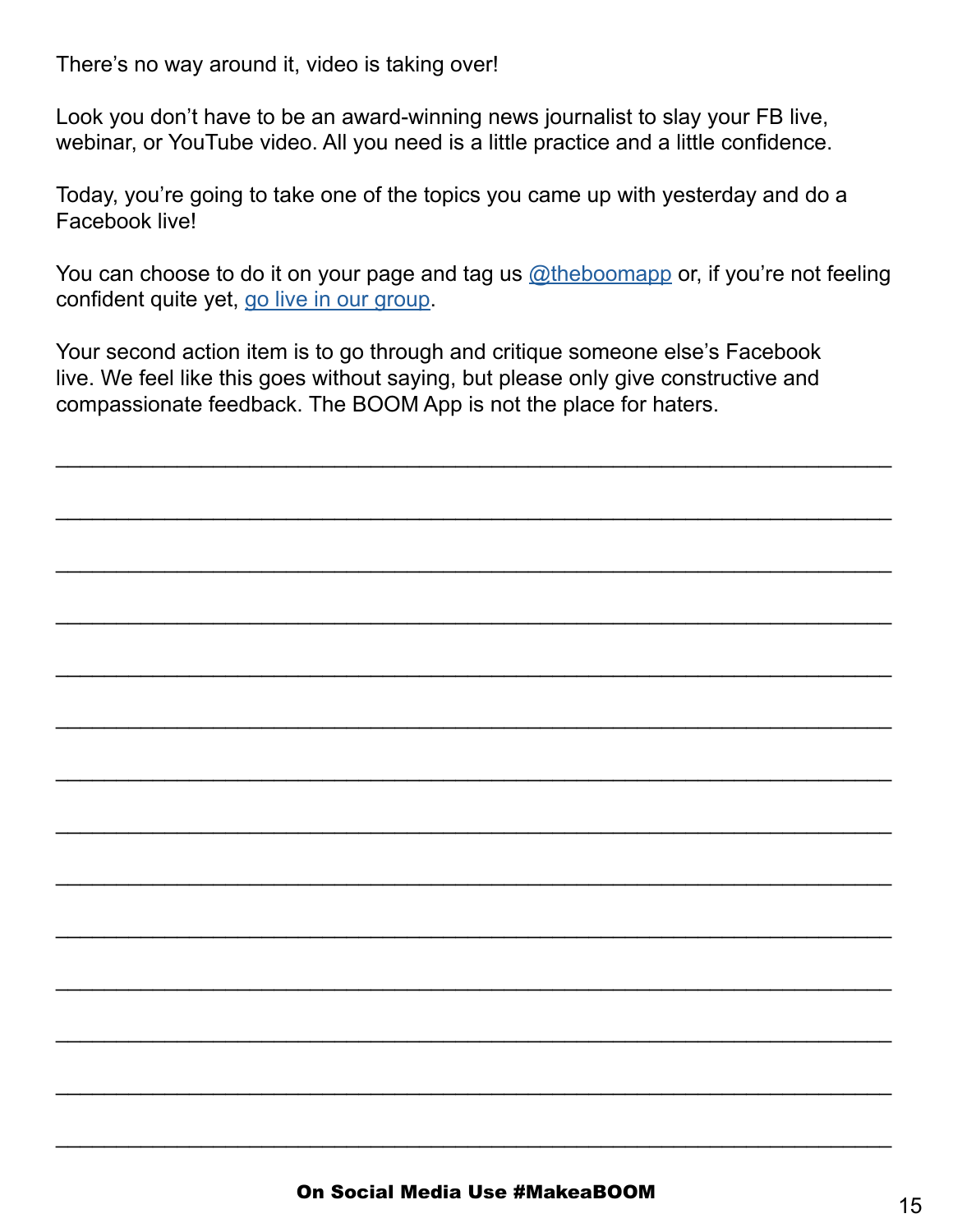There's no way around it, video is taking over!

Look you don't have to be an award-winning news journalist to slay your FB live, webinar, or YouTube video. All you need is a little practice and a little confidence.

Today, you're going to take one of the topics you came up with yesterday and do a Facebook live!

You can choose to do it on your page and tag us [@theboomapp](https://www.facebook.com/theboomapp) or, if you're not feeling confident quite yet, [go live in our group](https://www.facebook.com/groups/theyearofbuyingblack).

\_\_\_\_\_\_\_\_\_\_\_\_\_\_\_\_\_\_\_\_\_\_\_\_\_\_\_\_\_\_\_\_\_\_\_\_\_\_\_\_\_\_\_\_\_\_\_\_\_\_\_\_\_\_\_\_\_\_\_\_\_\_\_\_\_\_\_\_\_

\_\_\_\_\_\_\_\_\_\_\_\_\_\_\_\_\_\_\_\_\_\_\_\_\_\_\_\_\_\_\_\_\_\_\_\_\_\_\_\_\_\_\_\_\_\_\_\_\_\_\_\_\_\_\_\_\_\_\_\_\_\_\_\_\_\_\_\_\_

\_\_\_\_\_\_\_\_\_\_\_\_\_\_\_\_\_\_\_\_\_\_\_\_\_\_\_\_\_\_\_\_\_\_\_\_\_\_\_\_\_\_\_\_\_\_\_\_\_\_\_\_\_\_\_\_\_\_\_\_\_\_\_\_\_\_\_\_\_

\_\_\_\_\_\_\_\_\_\_\_\_\_\_\_\_\_\_\_\_\_\_\_\_\_\_\_\_\_\_\_\_\_\_\_\_\_\_\_\_\_\_\_\_\_\_\_\_\_\_\_\_\_\_\_\_\_\_\_\_\_\_\_\_\_\_\_\_\_

\_\_\_\_\_\_\_\_\_\_\_\_\_\_\_\_\_\_\_\_\_\_\_\_\_\_\_\_\_\_\_\_\_\_\_\_\_\_\_\_\_\_\_\_\_\_\_\_\_\_\_\_\_\_\_\_\_\_\_\_\_\_\_\_\_\_\_\_\_

\_\_\_\_\_\_\_\_\_\_\_\_\_\_\_\_\_\_\_\_\_\_\_\_\_\_\_\_\_\_\_\_\_\_\_\_\_\_\_\_\_\_\_\_\_\_\_\_\_\_\_\_\_\_\_\_\_\_\_\_\_\_\_\_\_\_\_\_\_

\_\_\_\_\_\_\_\_\_\_\_\_\_\_\_\_\_\_\_\_\_\_\_\_\_\_\_\_\_\_\_\_\_\_\_\_\_\_\_\_\_\_\_\_\_\_\_\_\_\_\_\_\_\_\_\_\_\_\_\_\_\_\_\_\_\_\_\_\_

\_\_\_\_\_\_\_\_\_\_\_\_\_\_\_\_\_\_\_\_\_\_\_\_\_\_\_\_\_\_\_\_\_\_\_\_\_\_\_\_\_\_\_\_\_\_\_\_\_\_\_\_\_\_\_\_\_\_\_\_\_\_\_\_\_\_\_\_\_

\_\_\_\_\_\_\_\_\_\_\_\_\_\_\_\_\_\_\_\_\_\_\_\_\_\_\_\_\_\_\_\_\_\_\_\_\_\_\_\_\_\_\_\_\_\_\_\_\_\_\_\_\_\_\_\_\_\_\_\_\_\_\_\_\_\_\_\_\_

\_\_\_\_\_\_\_\_\_\_\_\_\_\_\_\_\_\_\_\_\_\_\_\_\_\_\_\_\_\_\_\_\_\_\_\_\_\_\_\_\_\_\_\_\_\_\_\_\_\_\_\_\_\_\_\_\_\_\_\_\_\_\_\_\_\_\_\_\_

\_\_\_\_\_\_\_\_\_\_\_\_\_\_\_\_\_\_\_\_\_\_\_\_\_\_\_\_\_\_\_\_\_\_\_\_\_\_\_\_\_\_\_\_\_\_\_\_\_\_\_\_\_\_\_\_\_\_\_\_\_\_\_\_\_\_\_\_\_

\_\_\_\_\_\_\_\_\_\_\_\_\_\_\_\_\_\_\_\_\_\_\_\_\_\_\_\_\_\_\_\_\_\_\_\_\_\_\_\_\_\_\_\_\_\_\_\_\_\_\_\_\_\_\_\_\_\_\_\_\_\_\_\_\_\_\_\_\_

\_\_\_\_\_\_\_\_\_\_\_\_\_\_\_\_\_\_\_\_\_\_\_\_\_\_\_\_\_\_\_\_\_\_\_\_\_\_\_\_\_\_\_\_\_\_\_\_\_\_\_\_\_\_\_\_\_\_\_\_\_\_\_\_\_\_\_\_\_

Your second action item is to go through and critique someone else's Facebook live. We feel like this goes without saying, but please only give constructive and compassionate feedback. The BOOM App is not the place for haters.

 $\overline{a}$  , and the set of the set of the set of the set of the set of the set of the set of the set of the set of the set of the set of the set of the set of the set of the set of the set of the set of the set of the set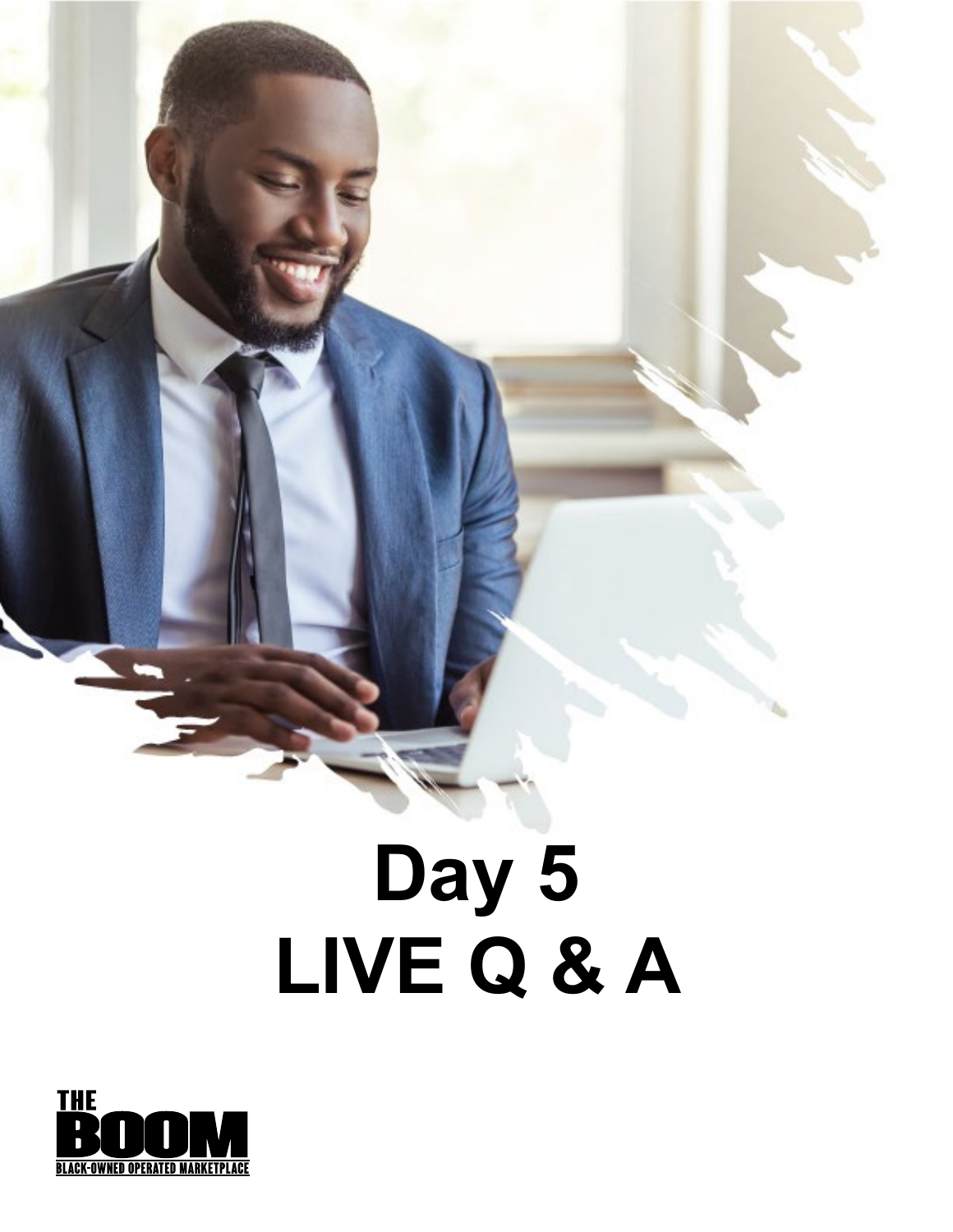## **Day 5 LIVE Q & A**

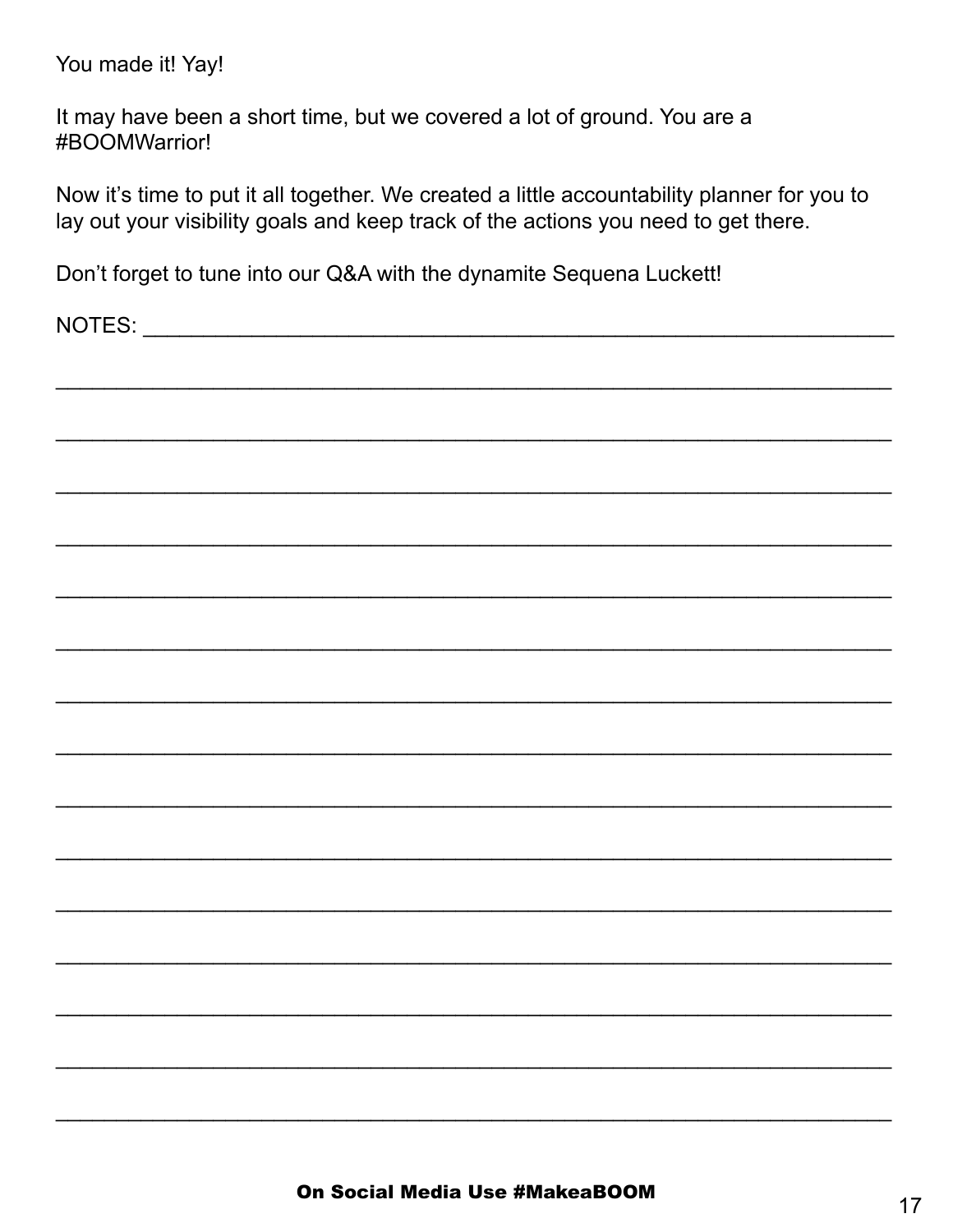You made it! Yay!

It may have been a short time, but we covered a lot of ground. You are a #BOOMWarrior!

Now it's time to put it all together. We created a little accountability planner for you to lay out your visibility goals and keep track of the actions you need to get there.

Don't forget to tune into our Q&A with the dynamite Sequena Luckett!